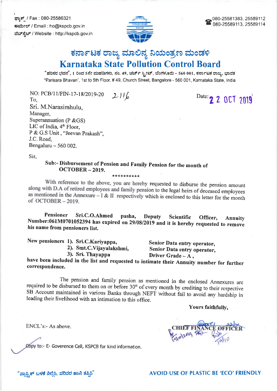ಫ್ರಾಕ್ / Fax : 080-25586321 ಈಮೇಲ್ / Email : ho@kspcb.gov.in ವೆಬ್ ಸ್ಪೆಟ್ / Website : http://kspcb.gov.in



## ಕರ್ನಾಟಕ ರಾಜ್ಯ ಮಾಲಿನ್ಯ ನಿಯಂತ್ರಣ ಮಂಡಳಿ **Karnataka State Pollution Control Board**

"ಪರಿಸರ ಭವನ", 1 ರಿಂದ 5ನೇ ಮಹಡಿಗಳು, ನಂ. 49, ಚರ್ಚ್ ಸ್ಟೀಟ್, ಬೆಂಗಳೂರು - 560 001, ಕರ್ನಾಟಕ ರಾಜ್ಯ, ಭಾರತ "Parisara Bhavan", 1st to 5th Floor, #49, Church Street, Bangalore - 560 001, Karnataka State, India

NO: PCB/11/FIN-17-18/2019-20  $2116$ To, Sri. M.Narasimhulu, Manager. Superannuation (P & GS) LIC of India, 4<sup>th</sup> Floor, P & G.S Unit, "Jeevan Prakash". J.C. Road, Bengaluru  $-560002$ .

Date: 2 2 0 CT 2019

Sir,

Sub:- Disbursement of Pension and Family Pension for the month of **OCTOBER-2019.** \*\*\*\*\*\*\*\*\*\*

With reference to the above, you are hereby requested to disburse the pension amount along with D.A of retired employees and family pension to the legal heirs of deceased employees as mentioned in the Annexure  $- I & II$  respectively which is enclosed to this letter for the month of  $OCTOBER - 2019$ .

Pensioner Sri.C.O.Ahmed pasha, **Deputy** Scientific Officer. **Annuity** Number:061M0701052394 has expired on 29/08/2019 and it is hereby requested to remove his name from pensioners list.

New pensioners 1). Sri.C.Kariyappa,

2). Smt.C.Vijayalakshmi,

3). Sri. Thayappa

Senior Data entry operator, Senior Data entry operator, Driver Grade  $-A$ ,

have been included in the list and requested to intimate their Annuity number for further correspondence.

The pension and family pension as mentioned in the enclosed Annexures are required to be disbursed to them on or before 30<sup>th</sup> of every month by crediting to their respective SB Account maintained in various Banks through NEFT without fail to avoid any hardship in leading their livelihood with an intimation to this office.

Yours faithfully,

ENCL's:- As above.

Copy to:- E- Goverence Cell, KSPCB for kind information.

**AVOID USE OF PLASTIC BE 'ECO' FRIENDLY**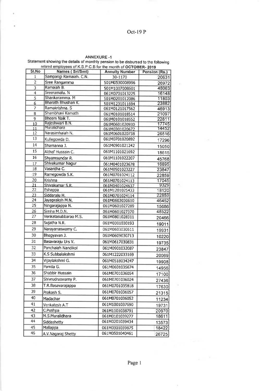Oct-19<sub>P</sub>

## ANNEXURE -1 Statement showing the details of monthly pension to be disbursed to the followinq retired employees of K.S.P.C.B for the month of **OCTOBER- 2019**

| SI.No                     | Names (Sri/Smt)                  | <b>Annuity Number</b>            | Pension (Rs.)  |
|---------------------------|----------------------------------|----------------------------------|----------------|
| $\mathbf{1}$              | Sampangi Ramaiah. C.N.           | 30-1170                          | 20631          |
| $\overline{2}$            | Sree Rangamma                    | 501M0530008996                   | 26972          |
| $\overline{\overline{3}}$ | Ramaiah B.                       | 501M1007008601                   | 48063          |
| 4                         | Sreeramalu. N                    | 061M0701013225                   | 16148          |
| $\overline{5}$            | Shankaramma. M                   | 501M0201012086                   | 11803          |
| $\overline{6}$            | Bharath Bhushan K.               | 501M1231011694                   | 23882          |
| 7                         | Ramakrishna. S                   | 061M0121017562                   | 46913          |
| $\overline{\mathbf{8}}$   | Shambhavi Kamath                 | 061M0101018514                   | 21097          |
| $\overline{9}$            | Bheem Naik T.<br>Rajeshwari B.N. | 061M0101018552                   | 22811          |
| 10<br>11                  | Muralidhara                      | 061M0601020930                   | 17745<br>14452 |
| $\overline{12}$           | Narasimhaiah N.                  | 061M0301020672<br>061M0601020738 | 26516          |
| 13                        | Kullegowda D.                    | 061M0701020892                   |                |
| 14                        |                                  |                                  | 17296          |
|                           | Shamanna J.                      | 061M0901021242                   | 15050          |
| 15                        | Althaf Hussain C.                | 061M1101021692                   | 18615          |
| 16                        | Shyamsundar R.                   | 061M1101022207                   | 45768          |
| 17                        | Shivakumar Nagur                 | 061M0401023678                   | 16895          |
| 18                        | Vasantha C.                      | 061M0501023227                   | 23847          |
| 19                        | Ramegowda S.K.                   | 061M0701024112                   | 22859          |
| $\overline{20}$           | Krishna                          | 061M0701024113                   | 17045          |
| $\overline{21}$           | Shivakumar S.R.                  | 061M0401024637                   | 9329           |
| 22                        | Eshappa                          | 061M1201025433                   | 18120          |
| 23                        | Siddaraju H.                     | 061M0701024114                   | 22859          |
| 24                        | Jayapraksh M.N.                  | 061M0603030610                   | 46452          |
| 25                        | Ningarajappa N.                  | 061M0601027289                   | 15686          |
| 26                        | Simha M.D.N.                     | 061M0601027370                   | 48522          |
| 27                        | Venkatasubbarao M.S.             | 061M0801028311                   | 20466          |
| 28                        | Sujatha N.R.                     | 061M0301030193                   | 19011          |
| 29                        | Narayanaswamy C.                 | 061M0603030611                   | 19931          |
| 30                        | Bhagyavan J.                     | 061M0609030713                   | 10220          |
| 31                        | Basavaraju Urs V.                | 061M0617030831                   | 19735          |
| 32                        | Panchaiah Nandikol               | 061M0901032087                   | 23847          |
| 33                        | K.S Subbalakshmi                 | 061M1222033169                   | 20069          |
| 34                        | Vijaylakshmi G.                  | 061M0518034247                   | 19908          |
| 35                        | Pamila G.                        | 061M0601035674                   | 14956          |
| 36                        | Shabbir Hussain                  | 061M0701036054                   | 17100          |
| 37                        | Shivrudraswamy P.                | 061M0701036024                   | 27436          |
| 38                        | T.R.Basavarajappa                | 061M0701035818                   | 17630          |
| 39                        | Prakash S.                       | 061M0701036057                   | 21315          |
| 40                        | Madachar                         | 061M0701036052                   | 11234          |
| 41                        | Venkatesh A.T                    | 061M1001037690                   | 19731          |
| 42                        | C.Pushpa                         | 061M1101038791                   | 20970          |
| 43                        | M.S.Muralidhara                  | 061M0101039277                   | 18611          |
| 44                        | Siddashetty                      | 061M0201039434                   | 13573          |
| 45                        | Mallappa                         | 061M0301039875                   | 18422          |
| 46                        | A.V.Nagaraj Shetty               | 061M0501040461                   |                |
|                           |                                  |                                  | 26725          |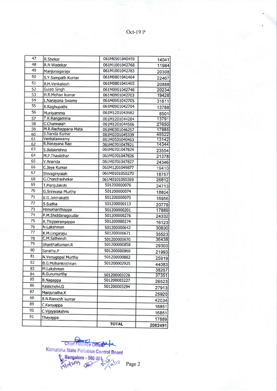Oct-I9 P

|                       |                                           | <b>TOTAL</b>                     | 2082491        |
|-----------------------|-------------------------------------------|----------------------------------|----------------|
| 91                    | Thayappa                                  |                                  | 17889          |
| 90                    | C.Vijayalakshmi                           |                                  | 16851          |
| 89                    | C.Kariyappa                               |                                  | 16851          |
| 88                    | B.N.Ramesh kumar                          |                                  | 42034          |
| 87                    | Manjunatha.K                              |                                  | 25920          |
|                       | Kalaichelvi.G                             | 501200003294                     | 27913          |
| 86                    | B.Nagappa                                 | 501200003227                     | 26523          |
| 84<br>85              | R.Gurumurthy                              | 501200003226                     | 37351          |
| 83                    | M.Lakshman                                |                                  | 38267          |
| 82                    | B.G.Mohankrishnan                         | 501200002925                     | 44083          |
| 81                    | N.Venugopal Murthy                        | 501200000882                     | 25919          |
| 80                    | Sarathy.P                                 | 501200000860                     | 21993          |
|                       | ShanthaKumari.R                           | 501200000858                     | 29303          |
| 78<br>79              | C.M.Satheesh                              | 501200000670                     | 36438          |
| 77                    | K.M.Lingaraju                             | 501200000671                     | 35523          |
| 76                    | N.Lakshman                                | 501200000642                     | 30830          |
| 75                    | R. Thipperangappa                         | 501200000274                     | 16123          |
| 74                    | P.M.Shiddanagoudar                        | 501200000276                     | 24332          |
| 73                    | Hanumanthappa                             | 501200000201                     | 17889          |
| 72                    | S.Sudha                                   | 501200000113                     | 20779          |
| $\overline{71}$       | <b>B.G.Jekinakatti</b>                    | 501200000075                     | 16956          |
| $\overline{70}$       | <b>G.Srinivasa Murthy</b>                 | 501200000074                     | 18804          |
| 69                    | T.Manjulakshi                             | 501200000076                     | 24713          |
| 68                    | G.Chandrashekar                           | 061M0101050269                   | 26812          |
|                       | Shivagiriyaiah                            | 061M0101050270                   | 18757          |
| 67                    | C.Jaya Kumar                              | 061M1201049877                   | 19410          |
| 65<br>$\overline{66}$ | V.Ananda                                  | 061M0701047827                   | 24346          |
| 64                    | M.P.Thasildhar                            | 061M0701047826                   | 21378          |
|                       | S.Balakrishna                             | 061M0701047824                   | 23554          |
| 62<br>63              | R.Narayana Rao                            | 061M0701047821                   | 14344          |
| 61                    | Venkataswamy                              | 061M0501040463                   | 13142          |
| 60                    | S.Nanda Kumar                             | 061M0201045339                   | 48522          |
| 59                    | M.R.Rachappana Mata                       | 061M0301046257                   | 17985          |
| $\overline{58}$       | C.Channaiah                               | 061M1201044506                   | 27650          |
| $\overline{57}$       | Muniyamma<br>T.R.Rangamma                 | 061M1201044284                   | 8501<br>13791  |
| 56                    |                                           | 061M1201043982                   | 13788          |
| $\overline{55}$       | R.Raghupathi                              | 061M0901042704                   |                |
| $\overline{54}$       | L.Narayana Swamy                          | 061M0901042705                   | 31611          |
| $\overline{53}$       | H.R.Mohan kumar                           | 061M0901042748<br>061M0901042703 | 20234<br>19428 |
| $\overline{52}$       | Gulab Singh                               |                                  | 20888          |
| $\overline{51}$       | S.Y.Sampath Kumar<br><b>B.H.Venkatesh</b> | 061M0801041465                   | 22467          |
| $\overline{50}$       |                                           | 061M0801041464                   | 20308          |
| 49                    | Manjunagaraju                             | 061M1001042783                   | 11984          |
| 48                    | R.N.Wadekar                               | 061M1001042768                   | 14041          |
| 47                    | R.Shekar                                  | 061M0501040459                   |                |



Page 2